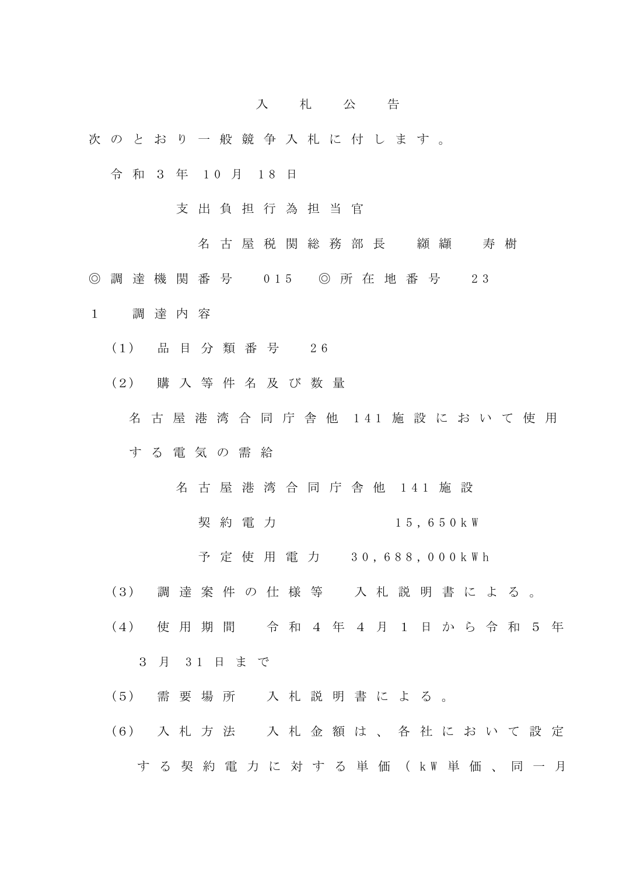## 入 札 公 告

- 次 の と お り 一 般 競 争 入 札 に 付 し ま す 。
	- 令 和 3 年 10 月 18 日
		- 支 出 負 担 行 為 担 当 官
			- 名古屋税関総務部長 纐纈 寿樹
- ◎ 調 達 機 関 番 号 015 ◎ 所 在 地 番 号 2 3
- 1 調 達 内 容
	- (1) 品 目 分 類 番 号 2 6
	- (2) 購 入 等 件 名 及 び 数 量
		- 名 古 屋 港 湾 合 同 庁 舎 他 141 施 設 に お い て 使 用 す る 電 気 の 需 給
			- 名 古 屋 港 湾 合 同 庁 舎 他 1 4 1 施 設
				- 契 約 電 力 1 5 , 6 5 0 k W
				- 予 定 使 用 電 力 3 0 , 6 8 8 , 0 0 0 k W h
	- (3) 調 達 案 件 の 仕 様 等 入 札 説 明 書 に よ る 。
	- (4) 使 用 期 間 令 和 4 年 4 月 1 日 か ら 令 和 5 年

3 月 3 1 日 ま で

- (5) 需 要 場 所 入 札 説 明 書 に よ る 。
- (6) 入 札 方 法 入 札 金 額 は 、 各 社 に お い て 設 定 す る 契 約 電 力 に 対 す る 単 価 ( k W 単 価 、 同 一 月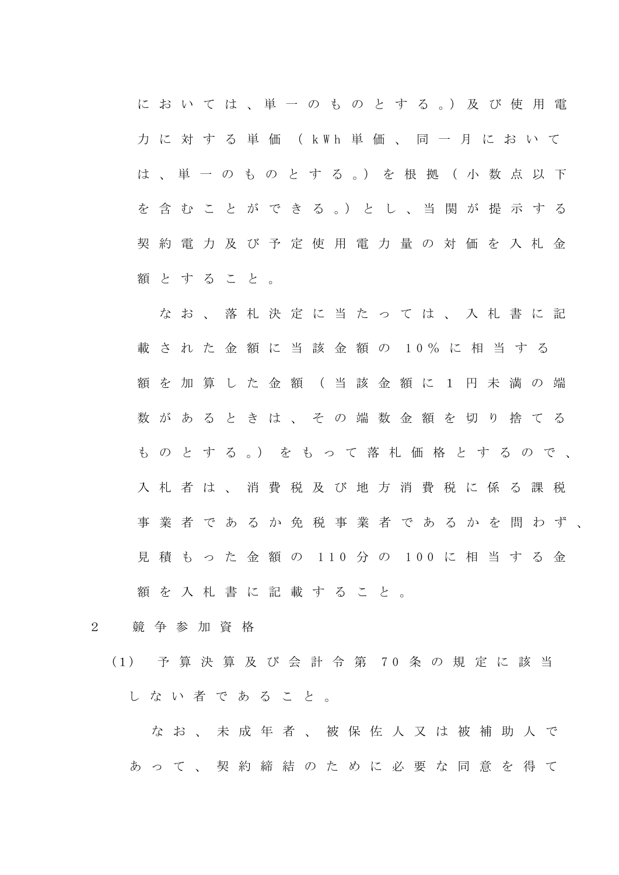に お い て は 、 単 一 の も の と す る 。) 及 び 使 用 電 力 に 対 す る 単 価 ( k W h 単 価 、 同 一 月 に お い て は 、 単 一 の も の と す る 。) を 根 拠 ( 小 数 点 以 下 を 含 む こ と が で き る 。) と し 、 当 関 が 提 示 す る 契 約 電 力 及 び 予 定 使 用 電 力 量 の 対 価 を 入 札 金 額 と す る こ と 。

な お 、 落 札 決 定 に 当 た っ て は 、 入 札 書 に 記 載 さ れ た 金 額 に 当 該 金 額 の 1 0 % に 相 当 す る 額 を 加 算 し た 金 額 ( 当 該 金 額 に 1 円 未 満 の 端 数 が あ る と き は 、 そ の 端 数 金 額 を 切 り 捨 て る も の と す る 。) を も っ て 落 札 価 格 と す る の で 、 入 札 者 は 、 消 費 税 及 び 地 方 消 費 税 に 係 る 課 税 事業者であるか免税事業者であるかを問わず、 見積もった金額の 110 分の 100 に相当する金 額 を 入 札 書 に 記 載 す る こ と 。

- 2 競 争 参 加 資 格
	- (1) 予 算 決 算 及 び 会 計 令 第 7 0 条 の 規 定 に 該 当 し な い 者 で あ る こ と 。

な お 、 未 成 年 者 、 被 保 佐 人 又 は 被 補 助 人 で あ っ て 、 契 約 締 結 の た め に 必 要 な 同 意 を 得 て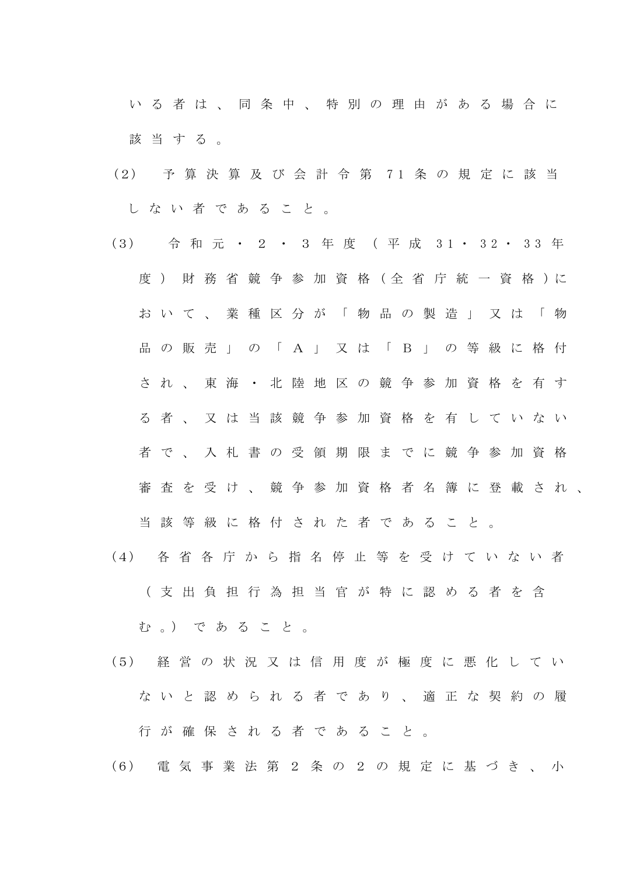い る 者 は 、 同 条 中 、 特 別 の 理 由 が あ る 場 合 に 該 当 す る 。

- (2) 予 算 決 算 及 び 会 計 令 第 7 1 条 の 規 定 に 該 当 し な い 者 で あ る こ と 。
- (3) 今和元·2·3年度 (平成 31·32·33年 度) 財 務 省 競 争 参 加 資 格 (全 省 庁 統 一 資 格 )に お い て 、 業 種 区 分 が 「 物 品 の 製 造 」 又 は 「 物 品 の 販 売 」 の 「 A 」 又 は 「 B 」 の 等 級 に 格 付 され、東海·北陸地区の競争参加資格を有す る 者 、 又 は 当 該 競 争 参 加 資 格 を 有 し て い な い 者 で 、 入 札 書 の 受 領 期 限 ま で に 競 争 参 加 資 格 審 査 を 受 け 、 競 争 参 加 資 格 者 名 簿 に 登 載 さ れ 、 当 該 等 級 に 格 付 さ れ た 者 で あ る こ と 。
- (4) 各 省 各 庁 か ら 指 名 停 止 等 を 受 け て い な い 者 ( 支 出 負 担 行 為 担 当 官 が 特 に 認 め る 者 を 含

む 。) で あ る こ と 。

(5) 経 営 の 状 況 又 は 信 用 度 が 極 度 に 悪 化 し て い な い と 認 め ら れ る 者 で あ り 、 適 正 な 契 約 の 履 行 が 確 保 さ れ る 者 で あ る こ と 。

(6) 電 気 事 業 法 第 2 条 の 2 の 規 定 に 基 づ き 、 小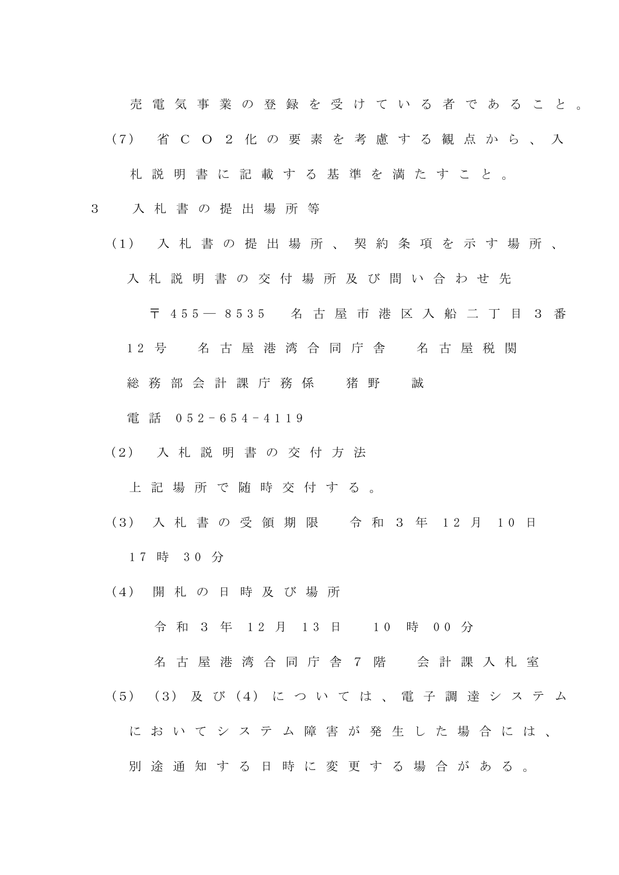売電気事業の登録を受けている 者であること。

(7) 省 C O 2 化 の 要 素 を 考 慮 す る 観 点 か ら 、 入

札 説 明 書 に 記 載 す る 基 準 を 満 た す こ と 。

- 3 入 札 書 の 提 出 場 所 等
	- (1) 入 札 書 の 提 出 場 所 、 契 約 条 項 を 示 す 場 所 、 入 札 説 明 書 の 交 付 場 所 及 び 問 い 合 わ せ 先

〒 4 5 5 ― 8535 名 古 屋 市 港 区 入 船 二 丁 目 3 番

- 1 2 号 名 古 屋 港 湾 合 同 庁 舎 名 古 屋 税 関
- 総 務 部 会計課 庁 務 係 猪 野 誠

電 話 0 5 2 - 6 5 4 - 4 119

(2) 入 札 説 明 書 の 交 付 方 法

上 記 場 所 で 随 時 交 付 す る 。

- (3) 入 札 書 の 受 領 期 限 令 和 3 年 12 月 10 日 1 7 時 3 0 分
- (4) 開 札 の 日 時 及 び 場 所

令 和 3 年 12 月 13 日 10 時 00 分

名 古 屋 港 湾 合 同 庁 舎 7 階 会 計 課 入 札 室 (5) (3) 及 び (4) に つ い て は 、 電 子 調 達 シ ス テ ム

に お い て シ ス テ ム 障 害 が 発 生 し た 場 合 に は 、

別 途 通 知 す る 日 時 に 変 更 す る 場 合 が あ る 。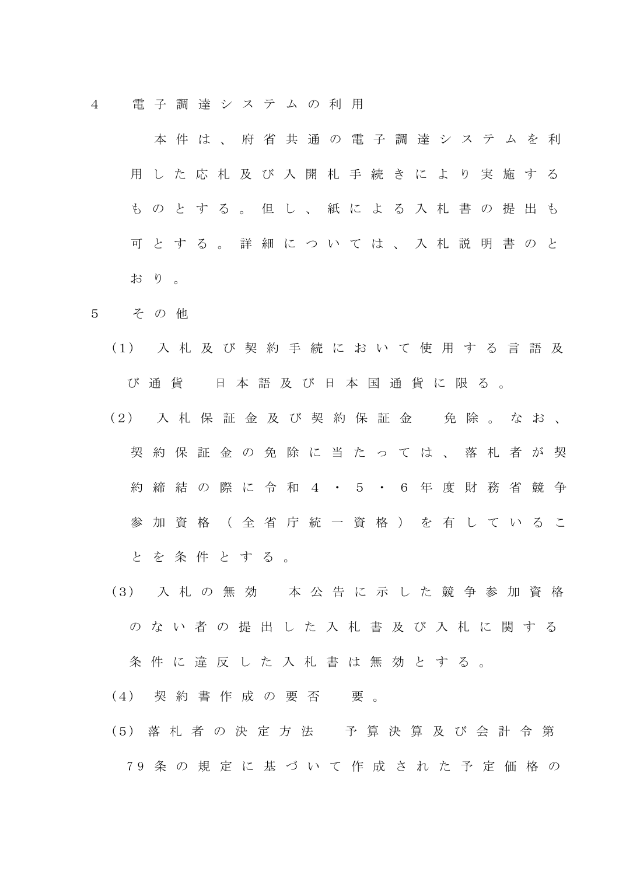4 電 子 調 達 シ ス テ ム の 利 用

 本 件 は 、 府 省 共 通 の 電 子 調 達 シ ス テ ム を 利 用 し た 応 札 及 び 入 開 札 手 続 き に よ り 実 施 す る も の と す る 。 但 し 、 紙 に よ る 入 札 書 の 提 出 も 可 と す る 。 詳 細 に つ い て は 、 入 札 説 明 書 の と お り 。

- 5 そ の 他
	- (1) 入 札 及 び 契 約 手 続 に お い て 使 用 す る 言 語 及 び 通 貨 日 本 語 及 び 日 本 国 通 貨 に 限 る 。
	- (2) 入 札 保 証 金 及 び 契 約 保 証 金 免 除 。 な お 、 契約保証金の免除に当たっては、落札者が契 約 締 結 の 際 に 令 和 4 · 5 · 6 年 度 財 務 省 競 争 参 加 資 格 ( 全 省 庁 統 一 資 格 ) を 有 し て い る こ と を 条 件 と す る 。
	- (3) 入 札 の 無 効 本 公 告 に 示 し た 競 争 参 加 資 格 の な い 者 の 提 出 し た 入 札 書 及 び 入 札 に 関 す る

条 件 に 違 反 し た 入 札 書 は 無 効 と す る 。

- (4) 契約書作成の要否 要。
- (5) 落 札 者 の 決 定 方 法 予 算 決 算 及 び 会 計 令 第 7 9 条 の 規 定 に 基 づ い て 作 成 さ れ た 予 定 価 格 の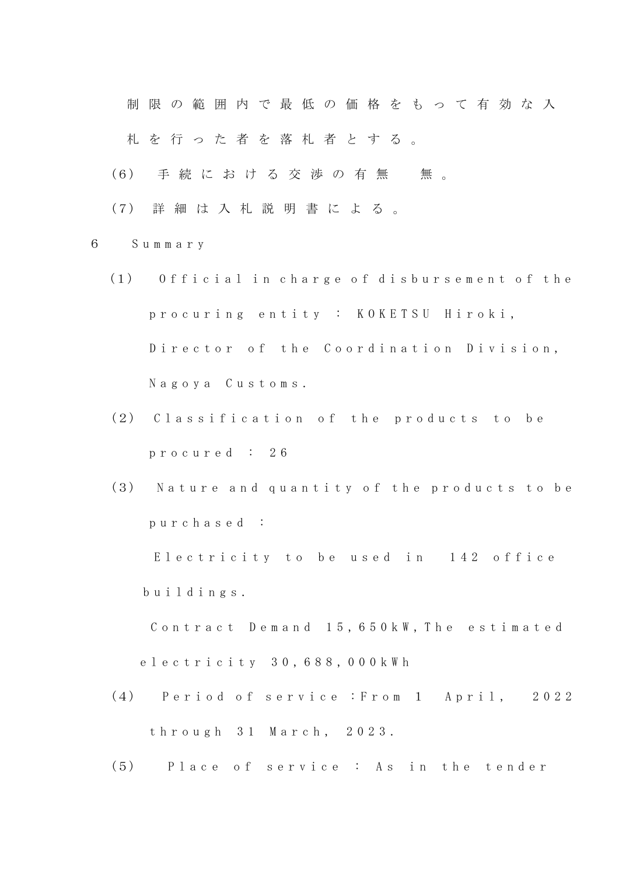制 限 の 範 囲 内 で 最 低 の 価 格 を も っ て 有 効 な 入 札 を 行 っ た 者 を 落 札 者 と す る 。

- (6) 手続における交渉の有無 無。
- (7) 詳 細 は 入 札 説 明 書 に よ る 。
- 6 S u m m a r y
	- (1) Official in charge of disbursement of the p r o c u r i n g e n t i t y : K O K E T S U H i r o k i , Director of the Coordination Division, N a g o y a C u s t o m s .
	- (2) Classification of the products to be p r o c u r e d : 2 6
	- (3) Nature and quantity of the products to be p u r c h a s e d :

Electricity to be used in 142 office b u i l d i n g s .

Contract Demand 15, 650 kW, The estimated e l e c t r i c i t y 3 0 , 6 8 8 , 0 0 0 k W h

- (4) Period of service : From 1 April, 2022 t h r o u g h 3 1 M a r c h , 2 0 2 3 .
- (5) Place of service : As in the tender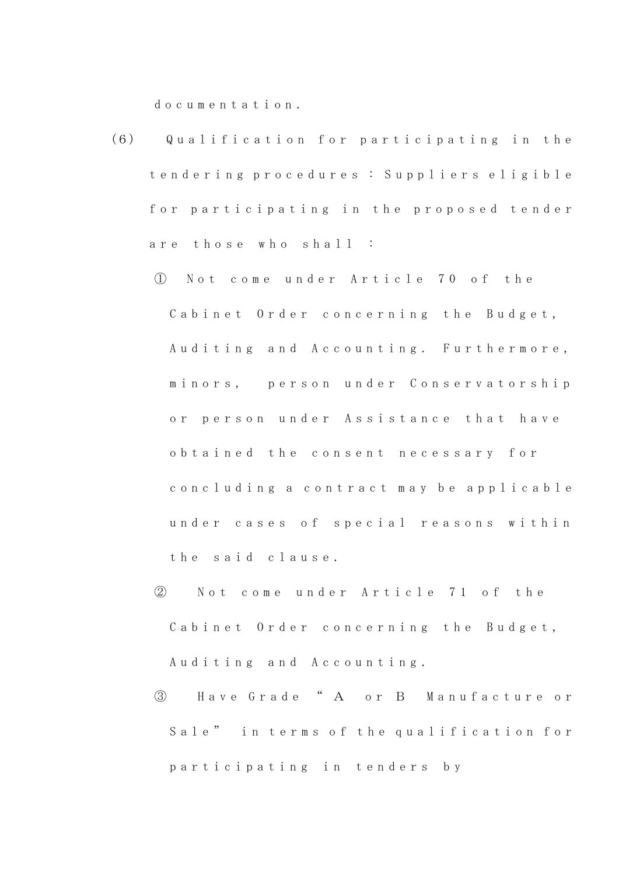d o c u m e n t a t i o n .

- (6) Q u a l i f i c a t i o n f o r p a r t i c i p a t i n g i n t h e t e n d e r i n g p r o c e d u r e s : S u p p l i e r s e l i g i b l e for participating in the proposed tender are those who shall :
	- ① N o t c o m e u n d e r A r t i c l e 7 0 o f t h e Cabinet Order concerning the Budget, Auditing and Accounting. Furthermore, minors, person under Conservatorship or person under Assistance that have o b t a i n e d t h e c o n s e n t n e c e s s a r y f o r c o n c l u d ing a c o n t r a c t m a y b e a p p l i c a b l e under cases of special reasons within t h e s a i d c l a u s e .
	- ② N o t c o m e u n d e r A r t i c l e 7 1 o f the Cabinet Order concerning the Budget, Auditing and Accounting.
	- ③ H a v e G r a d e " A o r B M a n u f a c t u r e o r Sale" in terms of the qualification for p a r t i c i p a t i n g i n t e n d e r s b y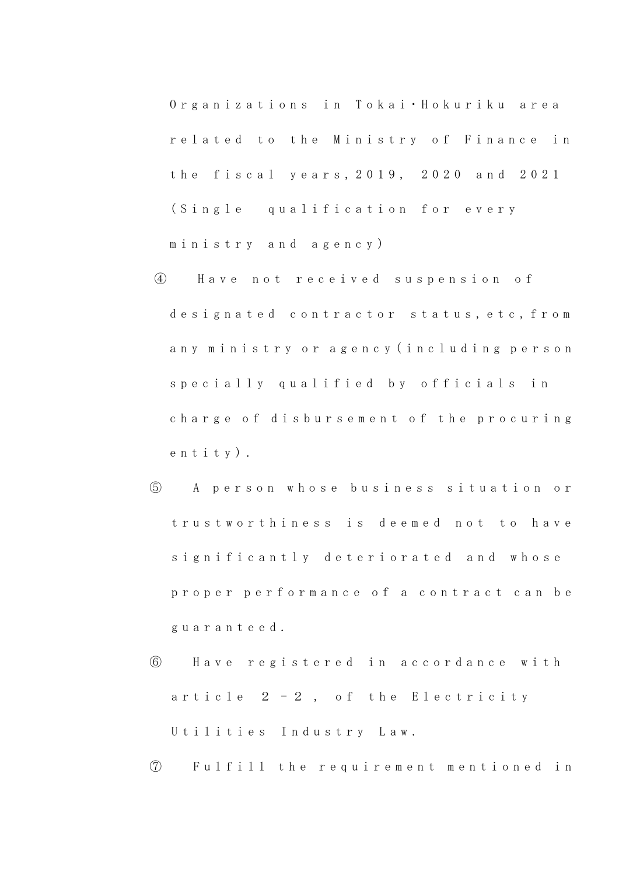Organizations in Tokai·Hokuriku area r e l a t e d t o t h e M i n i s t r y o f F i n a n c e i n the fiscal years, 2019, 2020 and 2021 (Single qualification for every m i n i s t r y a n d a g e n c y )

- ④ H a v e n o t r e c e i v e d s u s p e n s i o n o f designated contractor status, etc, from a n y m i n i s t r y o r a g e n c y ( i n c l u d i n g p e r s o n s p e c i a l l y qualified by officials in charge of disbursement of the procuring e n t i t y ) .
- ⑤ A p e r s o n w h o s e b u s i n e s s s i t u a t i o n o r trustworthiness is deemed not to have significantly deteriorated and whose proper performance of a contract can be g u a r a n t e e d .
- ⑥ H a v e r e g i s t e r e d i n a c c o r d a n c e w i t h article  $2 - 2$ , of the Electricity Utilities Industry Law.
- ⑦ F u l f i l l t h e r e q u i r e m e n t m e n t i o n e d i n